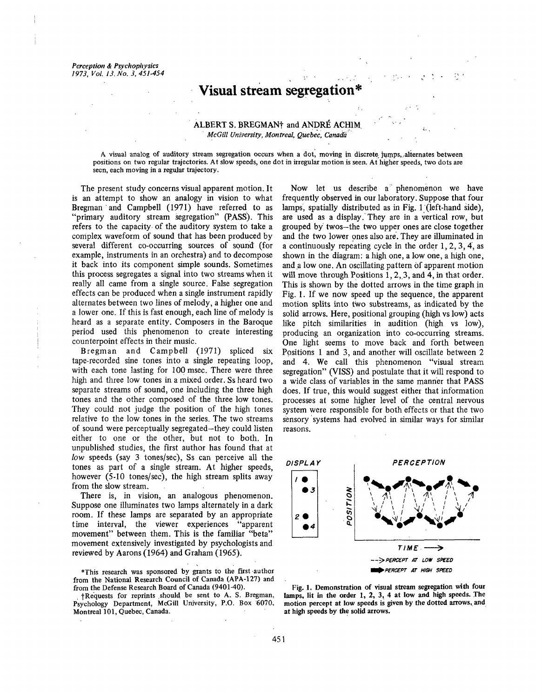*Perception & Psychophysics 1973, Vol. 13. No. 3, 451.454*

# **Visual stream Segregation\***

## ALBERT S. BREGMAN<sup>†</sup> and ANDRÉ ACHIM  $McGill$  University, Montreal, Quebec, Canada

A visual analog of auditory stream segregation occurs when a dot, moving in discrete jumps, alternates between positions on two regular trajectories. At slow speeds, one dot in irregular motion is seen. At higher speeds, two dots are seen, each moving in a regular trajectory.

The present study concerns visual apparent motion. It is an attempt to show an analogy in vision to what Bregman 'and Campbell (1971) have referred to as "primary auditory stream segregation" (PASS). This refers to the capacity of the auditory system to take a complex waveform of sound that has been produced by several different co-occurring sources of sound' (for example, instruments in an orchestra) and to decompose it back into its component simple sounds. Sometimes this process segregates a signal into two streams when it really all came from a single source. False segregation effects can be produced when a single instrument rapidly alternates between two lines of melody, a higher one and a lower one. If this is fast enough, each line of melody is heard as a separate entity. Composers in the Baroque period used this phenomenon to create interesting counterpoint effects in their music.

Bregman and Campbell (1971) spliced six tape-recorded sine tones into a single repeating loop, with each tone lasting for 100 msec. There were three high and three low tones in a mixed order. Ss heard two separate streams of sound, one including the three high tones and the other composed of the three low tones. They could not judge the position of the high tones relative to the low tones in the series. The two streams of sound were perceptually segregated-they could listen either to one or the other, but not to both. In unpublished studies, the first author has found that at *low* speeds (say 3 tones/see), Ss can perceive all the tones as part of a single stream. At higher speeds, however (5-10 tones/sec), the high stream splits away from the slow stream.

There is, in vision, an analogous phenomenon. Suppose one illuminates two lamps alternately in a dark room. If these lamps are separated by an appropriate time interval, the viewer experiences "apparent movement" between them. This is the familiar "beta" movement extensively investigated by psychologists and reviewed by Aarons (1964) and Graham (1965).

\*This research was sponsored by grants to th~ first-author from the National Research Council of Canada (APA-127) and from the Defense Research Board of Canada (9401-40).

+Requests for reprints should be sent to A. S. Bregman, Psychology Department, McGill University, P.O. Box 6070, Montreal 101, Quebec, Canada.

Now let us describe a phenomenon we have frequently observed in our laboratory. Suppose that four lamps, spatially distributed as in Fig.  $1$  (left-hand side), are used as a display. They are in a vertical row, but grouped by twos-the two upper ones are close together and the two lower ones also are. They are illuminated in a continuously repeating cycle in the order 1, 2, 3, 4, as shown in the diagram: a high one, a low one, a high one, and a low one. An oscillating pattern of apparent motion will move through Positions  $1, 2, 3$ , and  $4$ , in that order. This is shown by the dotted arrows in the time graph in Fig. 1. If we now speed up the sequence, the apparent motion splits into two substreams, as indicated by the solid arrows. Here, positional grouping (high vs low) acts like pitch similarities in audition (high vs low), producing an organization into co-occurring streams. One light seems to move back and forth between Positions 1 and 3, and another will oscillate between 2 and 4. We call this phenomenon "visual stream segregation" (VISS) and postulate that it will respond to a wide class of variables in the same manner that PASS does. If true, this would suggest either that information processes at some higher level of the central nervous system were responsible for both effects or that the two sensory 'systems had evolved in similar ways for similar reasons.



Fig. 1. **Demonstration of visual stream segregation with four** lamps, lit in the order 1, 2, 3, 4 at low and high speeds. The motion percept at low speeds is given by the dotted arrows, and **at high speeds** by the **solid arrows.**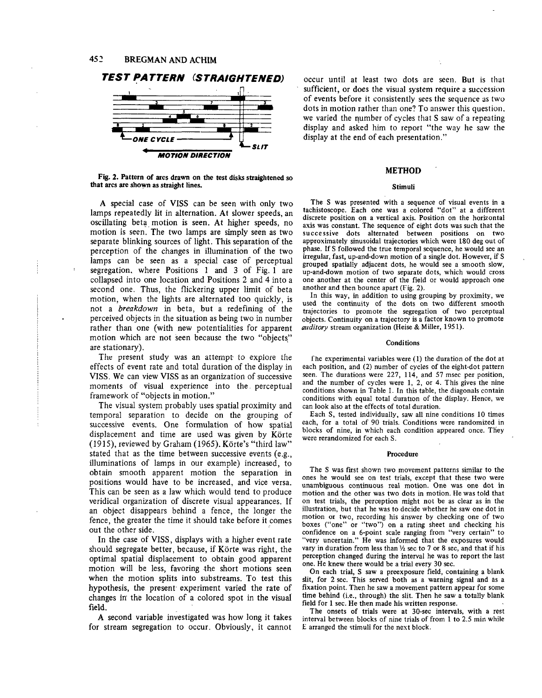**ONE CYCLE 4**



**Fig. 2. Pattern of arcs drawn on the test disks straightened so that arcs are shown as straight lines.**

**MOTION DIRECTION**

A special case of VISS can be seen with only two lamps repeatedly lit in alternation. At slower speeds, an oscillating beta motion is seen. At higher speeds, no motion is seen. The two lamps are simply seen as two separate blinking sources of light. This separation of the perception of the changes in illumination of the two lamps can be seen as a special case of perceptual segregation, where Positions 1 and 3 of Fig. 1 are collapsed into one location and Positions 2 and 4 into a second one. Thus, the flickering upper limit of beta motion, when the lights are alternated too quickly, is not a *breakdown* in beta, but a redefining of the perceived objects in the situation as being two in number rather than one (with new potentialities for apparent motion which are not seen because the two "objects" are stationary).

The present study was an attempt-to explore the effects of event rate and total duration of the display in VISS. We can view VISS as an organization of successive moments of visual experience into the, perceptual framework of "objects in motion."

The visual system probably uses spatial proximity and temporal separation to decide on the grouping of successive events. One formulation of how spatial displacement and time are used was given by  $\overline{K}$  orte (1915), reviewed by Graham (1965). Körte's "third law" stated that as the time between successive events (e.g., illuminations of lamps in our example) increased, to obtain smooth apparent motion the separation in positions would have to be increased, and vice versa. This can be seen as a law which would tend to produce veridical organization of discrete visual appearances. If an object disappears behind a fence, the longer the fence, the greater the time it should take before it comes out the other side.

In the case of VISS, displays with a higher event rate should segregate better, because, if Körte was right, the optimal spatial displacement to obtain good apparent motion will be less, favoring-the short motions seen when the motion splits into substreams. To test this hypothesis, the present experiment varied the rate of changes in' the location of a colored spot in the visual' field.

A second variable investigated was how long it takes for stream segregation to occur. Obviously, it cannot

occur until at least two dots are seen. But is that sufficient, or does the visual system require a succession of events before it consistently sees the sequence as two dots in motion rather than one? To answer this question. we varied the number of cycles that  $S$  saw of a repeating display and asked him to report "the way he saw the display at the end of each presentation."

### **METHOD**

#### **Stimuli**

The S was presented with a sequence of visual events in a tachistoscope. Each one was a colored "dot" at a different discrete position on a vertical axis. Position on the horizontal axis was constant. The sequence of eight dots was such that the successive dots alternated between positions on two approximately sinusoidal trajectories which were 180 deg out of phase. If S followed the true temporal sequence, he would see an irregular, fast, up-and-down motion of a single dot. However, if S grouped spatially adjacent dots, he would see a smooth slow, up-and-down motion of two separate dots, which would cross one another at the center of the field or would approach one another and then bounce apart (Fig. 2).

In this way, in addition to using grouping by proximity, we used the continuity of the dots on two different smooth trajectories to promote the segregation of two perceptual objects. Continuity on a trajectory is a factor known to promote *auditory* stream organization (Heise & Miller, 1951).

#### **Conditions**

fhe experimental variables were (1) the duration of the dot at each position, and (2) number of cycles of the eight-dot pattern seen. The durations were 227, 114, and 57 msec per position, and the number of cycles were 1, 2, or 4. This gives the nine conditions shown in Table 1. In this table, the diagonals contain conditions with equal total duration of the display. Hence, we can look also at the effects of total duration.

Each S, tested individually, saw all nine conditions 10 times each, for a total of 90 trials. Conditions were randomized in blocks of nine, in which each condition appeared once. They were rerandomized for each S.

#### **Procedure**

The S was first shown two movement patterns similar to the ones he would see on test trials, except that these two were unambiguous continuous real motion. One was one dot in motion and the other was two dots in motion. He was told that on test trials, the perception might not be as clear as in the illustration, but that he was to decide whether he saw one dot in motion or two, recording his answer by checking one of two boxes ("one" or "two") on a rating sheet and checking his confidence on a 6-point scale ranging from "very certain" to "very uncertain." He was informed that the exposures would vary in duration from less than  $\frac{1}{2}$  sec to 7 or 8 sec, and that if his perception changed during the interval he was to report the last one. He knew there would be a trial every 30 sec.

On each trial, S saw a preexposure field, containing a blank slit, for 2 sec. This served both as a warning signal and as a fixation point. Then he saw a movement pattern appear for some time behind (i.e., through) the slit. Then he saw a totally blank field for 1 sec. He then made his written response.

The onsets of trials were at 30-sec intervals, with a rest interval between blocks of nine trials of from 1 to 2.5 min while E arranged the stimuli for the next block.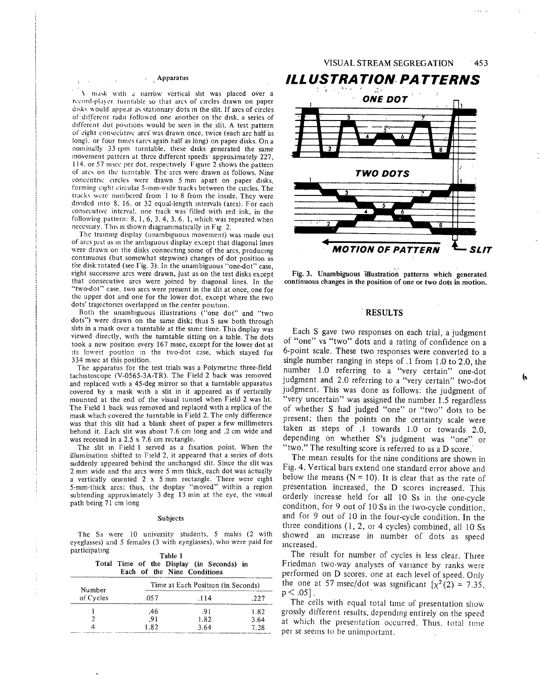\ mask w~tll a narrbw v~rtical slit was placed o0er a record-player turntable so that arcs of circles drawn on paper disks would appear as stationary dots in the slit. If arcs of circles of different radii followed one another on the disk, a series of different dot positions would be seen in the slit. A test pattern of eight consecutive arcs was drawn once, twice (each arc half as long), or four times (arcs again half as long) on paper disks. On a nominally 33 rpm turntable, these disks generated the same movement pattern at three different speeds approximately 227, 114. or 57 msee per dot. respectively Figure 2 shows the pattern of arcs on the turntable. The arcs were drawn as follows. Nine concentric circles were drawn 5 mm apart on paper disks, forming eight circular 5-mm-wide tracks between the circles. The .tracks were numbered from 1 to 8 from the inside. They were divided into 8, 16, or 32 equal-length intervals (arcs). For each consecutive interval, one track was filled with red ink, in the following pattern: 8, 1, 6, 3, 4, 3, 6, 1, which was repeated when necessary. This is shown diagrammatically in Fig 2.

The training display (unambiguous movement) was made out of arcs just as in the ambiguous display except that diagonal lines were drawn on the disks connecting some of the arcs, producing continuous (but somewhat stepwise) changes of dot position as the disk rotated (see Fig. 3). In the unambiguous "one-dot" case, eight successwe arcs were drawn, just as on the test disks except that consecutive arcs were joined by diagonal lines. In the "two-dot" case. two arcs were present in the slit at once, one for the upper dot and one for the lower dot, except where the two dots' trajectories overlapped in the center position.

Both the unambiguous illustrations ("one dot" and "two dots") were drawn on the same disk; thus S saw both through slits in a mask over a turntable at the same time. This display was viewed directly, with the turntable sitting on a table. The dots took a new position every 167 msec, except for the lower dot at its lowest position in the two-dot case, which stayed for 334 msec at this position.

The apparatus for the test trials was a Polymetric three-field tachistoscope (V-0565-3A-TR). The Field 2 back was removed and replaced with a 45-deg mirror so that a turntable apparatus covered by a mask with a slit in it appeared as if vertically mounted at the end of the visual tunnel when Field 2 was lit. The Field 1 back was removed and replaced with a replica of the mask which covered the turntable in Field 2. The only difference was that this slit had a blank sheet of paper a few millimeters behind it. Each slit was about 7.6 cm long and .2 cm wide and was recessed in a 2.5 x 7.6 cm rectangle.

The slit in Field 1 served as a fixation point. When the illumination shifted to Field 2, it appeared that a series of dots suddenly appeared behind the unchanged slit. Since the slit was 2 mm wide and the arcs were 5 mm thick, each dot was actually a vertically oriented 2 x 5 mm rectangle. There were eight 5-mm-thick arcs: thus, the display "moved" within a region subtending approximately 3 deg 13 min at the eye, the visual path being 71 cm tong

#### Subjects

The Ss were 10 university students, 5 males (2 with eyeglasses) and 5 females (3 with eyeglasses), who were paid for par ticipatmg  $T = 1$ 

| rable i |  |  |  |                             |                                           |  |  |
|---------|--|--|--|-----------------------------|-------------------------------------------|--|--|
|         |  |  |  |                             | Total Time of the Display (in Seconds) in |  |  |
|         |  |  |  | Each of the Nine Conditions |                                           |  |  |

| Number    | Time at Each Position (in Seconds) |      |      |  |  |
|-----------|------------------------------------|------|------|--|--|
| of Cycles | .057                               | .114 | .227 |  |  |
|           | .46                                | .91  | 1.82 |  |  |
|           | .91                                | 1.82 | 3.64 |  |  |
|           | 1.82                               | 3.64 | 7.28 |  |  |



Fig. 3. Unambiguous 'illustration patterns which generated continuous changes in the position of one or two dots in motion.

#### **¯ RESULTS**

Each S gave two responses on each trial, a judgment of "one" vs "two" dots and a rating of confidence on a 6-point scale. These two responses were converted to a single number ranging in steps of .1 from 1.0 to 2.0, the number 1.0 referring to a "very certain" one-dot judgment and 2.0 referring to a "very certain" two-dot judgment. This was done as follows: the judgment of "very uncertain" was assigned the number 1.5 regardless of whether S had judged "one" or "two" dots to be present; then the points on the certainty scale were taken as steps of .1 towards 1.0 or towards 2.0, depending on whether S's judgment was "one" or "two." The resulting score is referred to as a D score.'

The mean results for the nine conditions are shown in Fig. 4. Vertical bars extend one standard error above and below the means  $(N = 10)$ . It is clear that as the rate of presentation increased, the D scores increased. This orderly increase held for all 10 Ss in the one-cycle condition, for 9 out of 10 Ss in the two-cycle condition, and for 9 out of 10 in the four-cycle condition. In the three conditions (1, 2, or 4 cycles) combined, all 10 Ss showed an increase in number of dots as speed Increased.

The result for number of cycles is less clear. Three Friedman two-way analyses of variance by ranks were performed on D scores, one at each level of speed. Only the one at 57 msec/dot was significant  $[x^2(2) = 7.35]$ .  $p < .05$ ].

The cells with equal total time of presentation show grossly different results, depending entirely on the speed at which the presentation occurred. Thus, total time per se seems to be unimportant.